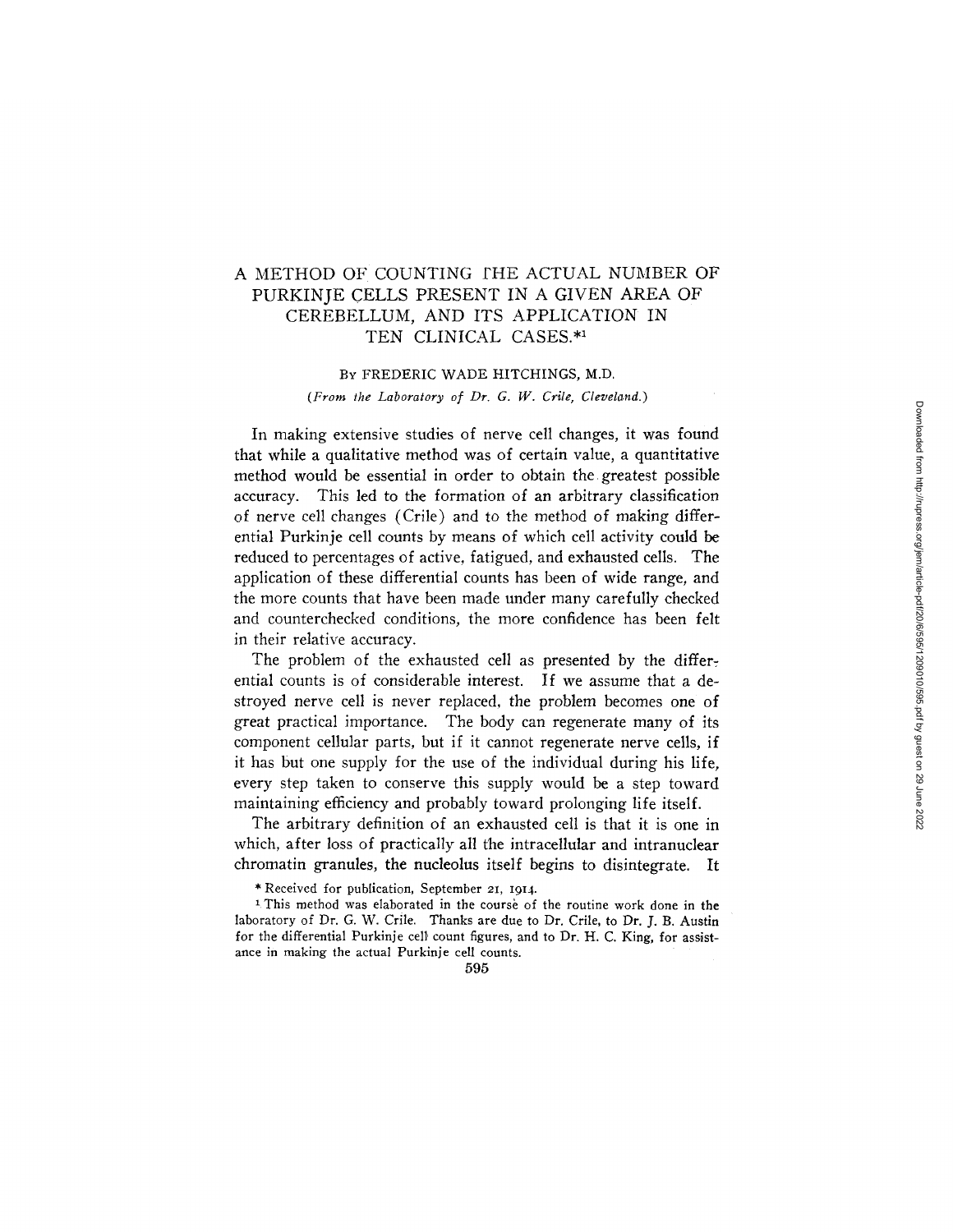# A METHOD OF COUNTING FHE ACTUAL NUMBER OF PURKINJE CELLS PRESENT IN A GIVEN AREA OF CEREBELLUM, AND ITS APPLICATION IN TEN CLINICAL CASES.\*1

## By FREDERIC WADE HITCHINGS, M.D. *(From the Laboratory of Dr. G. W. Crile, Cleveland.)*

In making extensive studies of nerve cell changes, it was found that While a qualitative method was of certain value, a quantitative method would be essential in order to obtain the greatest possible accuracy. This led to the formation of an arbitrary classification of nerve cell changes (Crile) and to the method of making differential Purkinje cell counts by means of which cell activity could be reduced to percentages of active, fatigued, and exhausted cells. The application of these differential counts has been of wide range, and the more counts that have been made under many carefully checked and counterchecked conditions, the more confidence has been felt in their relative accuracy.

The problem of the exhausted cell as presented by the differential counts is of considerable interest. If we assume that a destroyed nerve cell is never replaced, the problem becomes one of great practical importance. The *body* can regenerate many of its component cellular parts, but if it cannot regenerate nerve cells, if it has but one supply for the use of the individual during his life, every step taken to conserve this supply would be a step toward maintaining efficiency and probably toward prolonging life itself.

The arbitrary definition of an exhausted cell is that it is one in which, after loss of practically all the intracellular and intranuclear chromatin granules, the nucleolus itself begins to disintegrate. It

\* Received for publication, September 21, 1914.

<sup>1</sup> This method was elaborated in the course of the routine work done in the laboratory of Dr. G. W. Crile. Thanks are due to Dr. Crile, to Dr. J. B. Austin for the differential Purkinje cell' count figures, and to Dr. H. C. King, for assistance in making the actual Purkinje cell counts.

595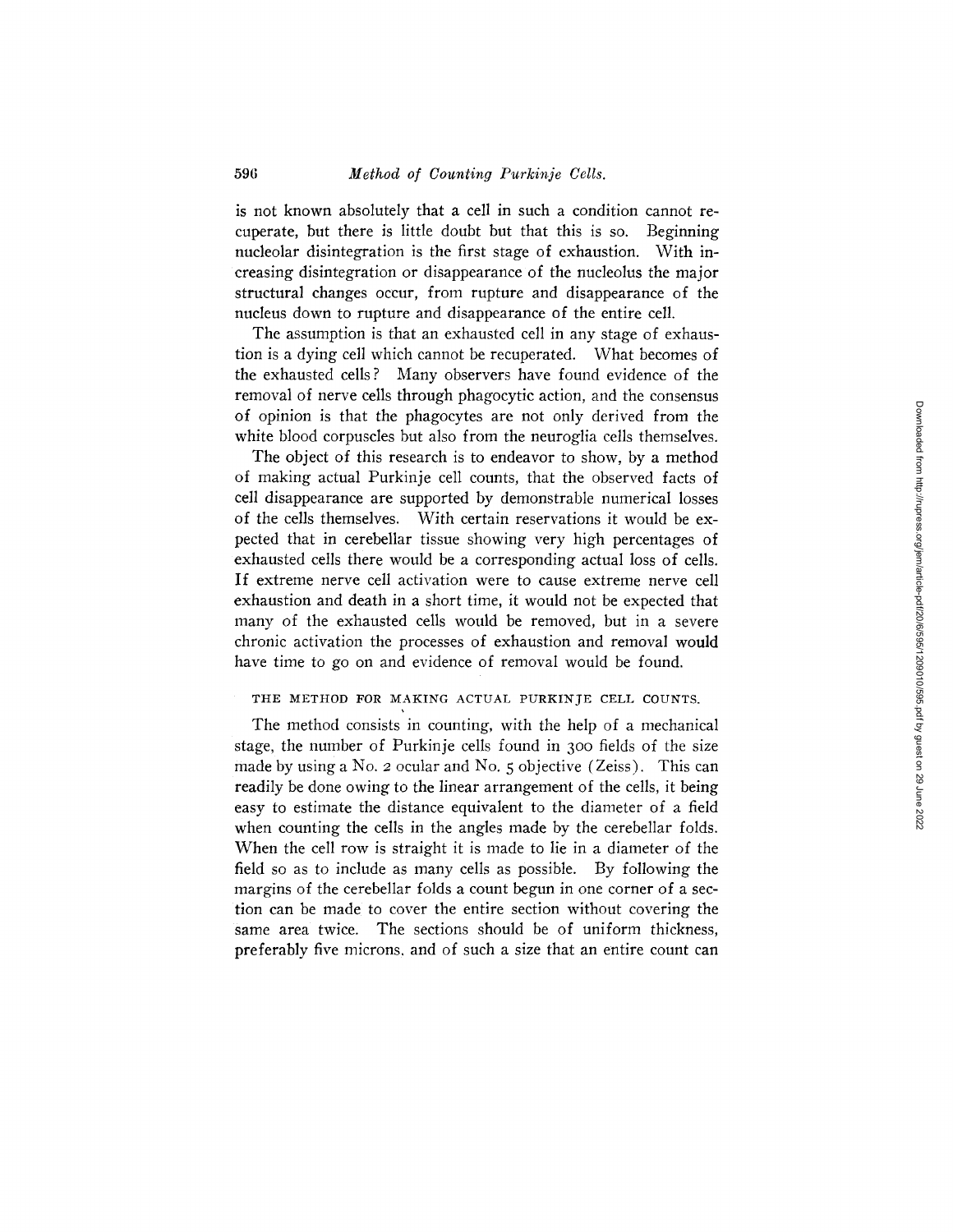is not known absolutely that a cell in such a condition cannot recuperate, but there is little doubt but that this is so. Beginning nucleolar disintegration is the first stage of exhaustion. With increasing disintegration or disappearance of the nucleolus the major structural changes occur, from rupture and disappearance of the nucleus down to rupture and disappearance of the entire cell.

The assumption is that an exhausted cell in any stage of exhaustion is a dying cell which cannot be recuperated. What becomes of the exhausted cells? Many observers have found evidence of the removal of nerve cells through phagocytic action, and the consensus of opinion is that the phagocytes are not only derived from the white blood corpuscles but also from the neuroglia cells themselves.

The object of this research is to endeavor to show, by a method of making actual Purkinje cell counts, that the observed facts of cell disappearance are supported by demonstrable numerical losses of the cells themselves. With certain reservations it would be expected that in cerebellar tissue showing very high percentages of exhausted cells there would be a corresponding actual loss of cells. If extreme nerve cell activation were to cause extreme nerve cell exhaustion and death in a short time, it would not be expected that many of the exhausted cells would be removed, but in a severe chronic activation the processes of exhaustion and removal would have time to go on and evidence of removal would be found.

#### THE METHOD FOR MAKING ACTUAL PURKINJE CELL COUNTS.

The method consists in counting, with the help of a mechanical stage, the number of Purkinje cells found in 300 fields of the size made by using a No. 2 ocular and No. 5 objective (Zeiss). This can readily be done owing to the linear arrangement of the cells, it being easy to estimate the distance equivalent to the diameter of a field when counting the cells in the angles made by the cerebellar folds. When the cell row is straight it is made to lie in a diameter of the field so as to include as many cells as possible. By following the margins of the cerebellar folds a count begun in one corner of a section can be made to cover the entire section without covering the same area twice. The sections should be of uniform thickness, preferably five microns, and of such a size that an entire count can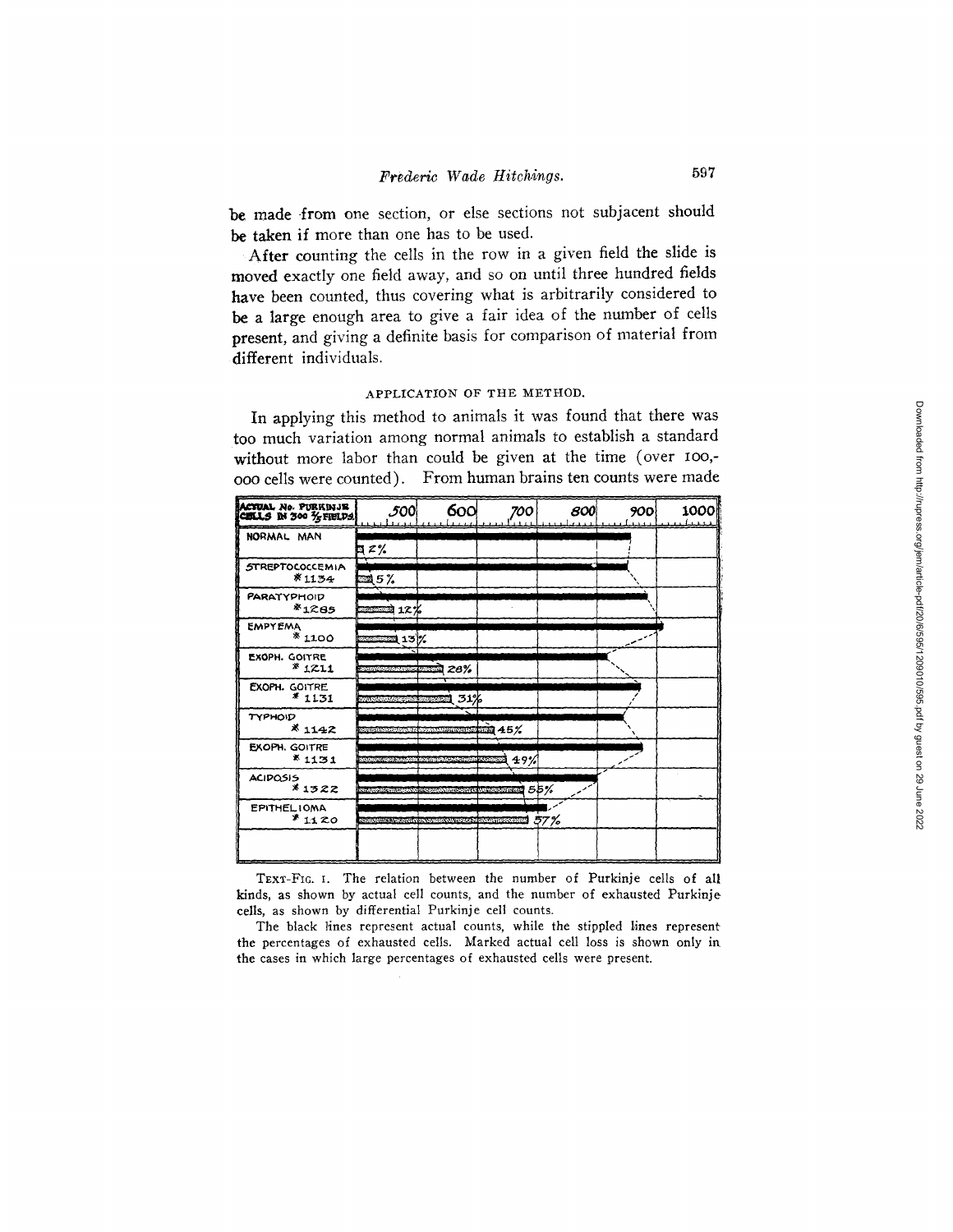**be made-from one section, or else sections not subjacent should be taken if more than one has to be used.** 

**After counting the cells in the row in a given field the slide is moved exactly one field away, and so on until three hundred fields have been counted, thus covering what is arbitrarily considered to be a large enough area to give a fair idea of the number of cells present, and giving a definite basis for comparison of material from different individuals.** 

### **APPLICATION OF THE METHOD.**

**In applying this method to animals it was found that there was too much variation among normal animals to establish a standard without more labor than could be given at the time (over IOO, ooo cells were counted). From human brains ten counts were made** 

| <b>ACTUAL No. PURKINJE</b><br>CHLLS IN 300 ½ FIELDS | 500                      | 600                                                                        | 700 | 800 | 900 | 1000 |
|-----------------------------------------------------|--------------------------|----------------------------------------------------------------------------|-----|-----|-----|------|
| NORMAL MAN                                          | ¤ 2%                     |                                                                            |     |     |     |      |
| <b>STREPTOCOCCEMIA</b><br>*1134                     | 그 5%                     |                                                                            |     |     |     |      |
| <b>PARATYPHOID</b><br>*1285                         | $\equiv$ 12%             |                                                                            |     |     |     |      |
| <b>EMPYEMA</b><br>* 1100                            | $-13\%$                  |                                                                            |     |     |     |      |
| <b>EXOPH. GOITRE</b><br>$*1211$                     | <b>ENTERTAINMENT 28%</b> |                                                                            |     |     |     |      |
| EXOPH. GOITRE<br>* 1131                             |                          | <b><i>MARGARETA 31%</i></b>                                                |     |     |     |      |
| TYPHOID<br>$*1142$                                  |                          | <b>ENGINEERING CONSUMING STAR 45%</b>                                      |     |     |     |      |
| <b>EXOPH. GOITRE</b><br>$*1131$                     |                          | <b>Excessive Contract of Apple 2014</b> 49%                                |     |     |     |      |
| <b>ACIDOSIS</b><br>$*1522$                          |                          | <b>NEWS SECOND DESCRIPTION OF SALE</b>                                     |     |     |     |      |
| <b>EPITHELIOMA</b><br>$*1120$                       |                          | <b>SUPPORT OF THE REAL PROPERTY AND THE TANK TO AN ARTICLE AND CONTROL</b> |     | 57% |     |      |
|                                                     |                          |                                                                            |     |     |     |      |

**TExt-FiG. I. The relation between the number of Purkinje cells of all kinds, as shown by actual cell counts, and the number of exhausted Purkinje cells, as shown by differential Purkinje cell counts.** 

The black lines represent actual counts, while the stippled lines represent the percentages of exhausted cells. Marked actual cell loss is shown only in **the cases in which large percentages of exhausted cells were present.**